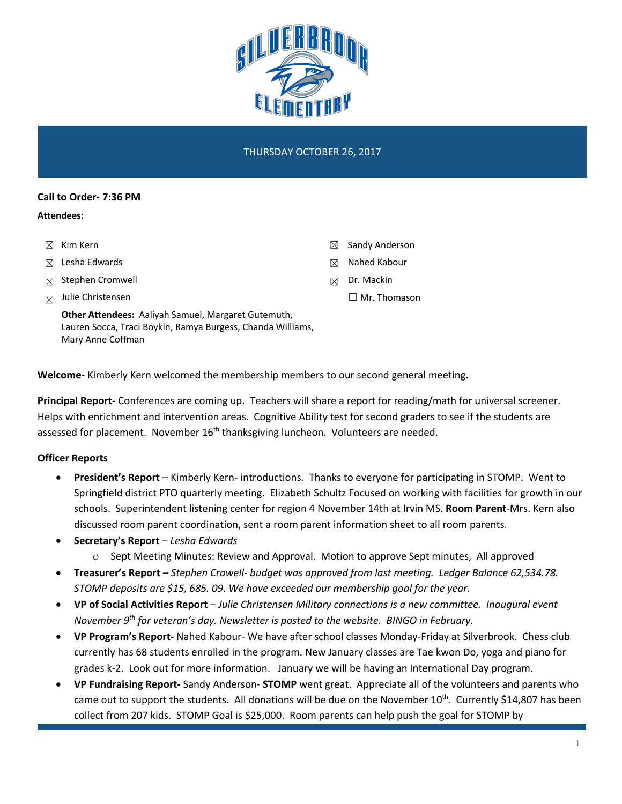

## THURSDAY OCTOBER 26, 2017

#### **Call to Order- 7:36 PM**

#### **Attendees:**

- ☒ Kim Kern
- ☒ Lesha Edwards
- ☒ Stephen Cromwell
- $\boxtimes$  Julie Christensen

☒ Sandy Anderson

- ☒ Nahed Kabour
- ☒ Dr. Mackin
	- ☐ Mr. Thomason

**Other Attendees:** Aaliyah Samuel, Margaret Gutemuth, Lauren Socca, Traci Boykin, Ramya Burgess, Chanda Williams, Mary Anne Coffman

**Welcome-** Kimberly Kern welcomed the membership members to our second general meeting.

**Principal Report-** Conferences are coming up. Teachers will share a report for reading/math for universal screener. Helps with enrichment and intervention areas. Cognitive Ability test for second graders to see if the students are assessed for placement. November  $16<sup>th</sup>$  thanksgiving luncheon. Volunteers are needed.

# **Officer Reports**

- **President's Report**  Kimberly Kern- introductions. Thanks to everyone for participating in STOMP. Went to Springfield district PTO quarterly meeting. Elizabeth Schultz Focused on working with facilities for growth in our schools. Superintendent listening center for region 4 November 14th at Irvin MS. **Room Parent**-Mrs. Kern also discussed room parent coordination, sent a room parent information sheet to all room parents.
- **Secretary's Report**  *Lesha Edwards*
	- o Sept Meeting Minutes: Review and Approval. Motion to approve Sept minutes, All approved
- **Treasurer's Report** *Stephen Crowell- budget was approved from last meeting. Ledger Balance 62,534.78. STOMP deposits are \$15, 685. 09. We have exceeded our membership goal for the year.*
- **VP of Social Activities Report** *Julie Christensen Military connections is a new committee. Inaugural event November 9th for veteran's day. Newsletter is posted to the website. BINGO in February.*
- **VP Program's Report-** Nahed Kabour- We have after school classes Monday-Friday at Silverbrook. Chess club currently has 68 students enrolled in the program. New January classes are Tae kwon Do, yoga and piano for grades k-2. Look out for more information. January we will be having an International Day program.
- **VP Fundraising Report-** Sandy Anderson- **STOMP** went great. Appreciate all of the volunteers and parents who came out to support the students. All donations will be due on the November  $10^{th}$ . Currently \$14,807 has been collect from 207 kids. STOMP Goal is \$25,000. Room parents can help push the goal for STOMP by